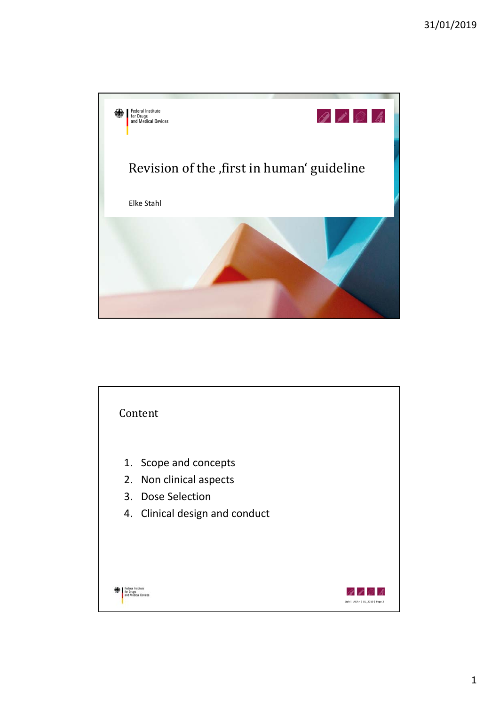

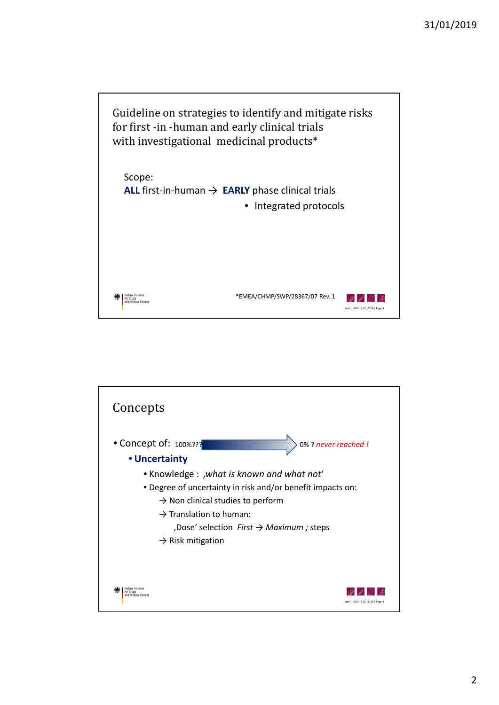

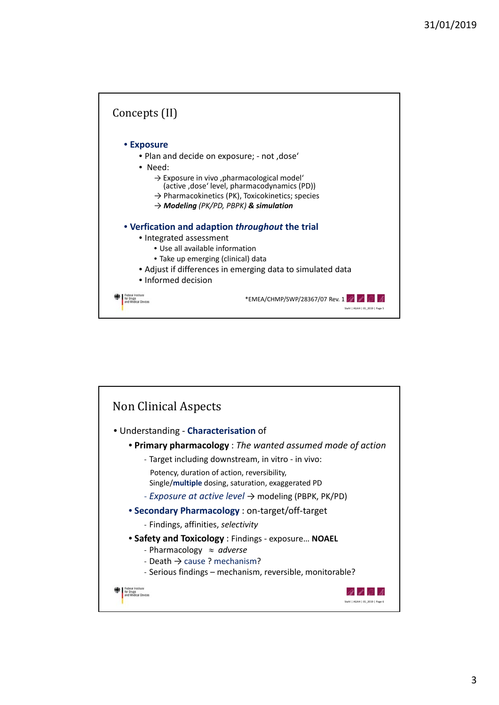

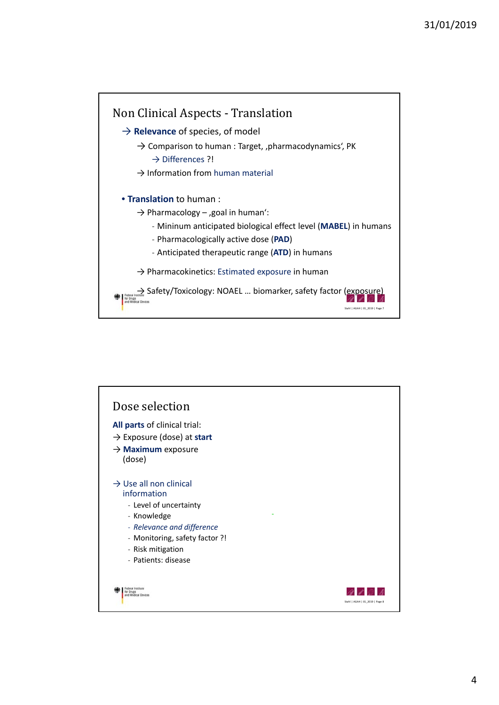

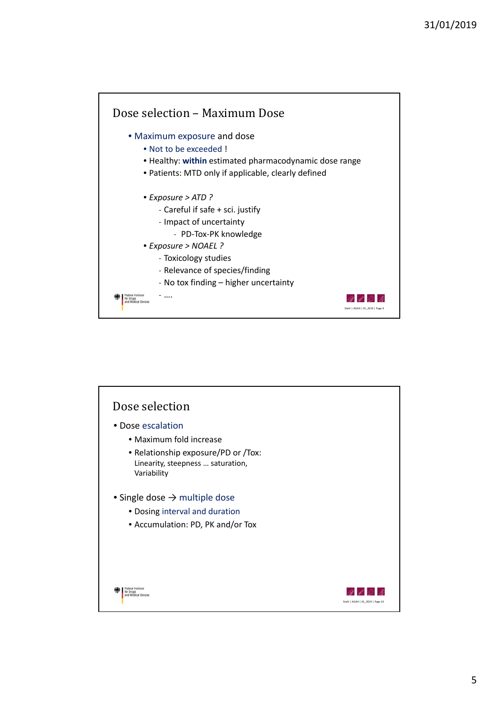

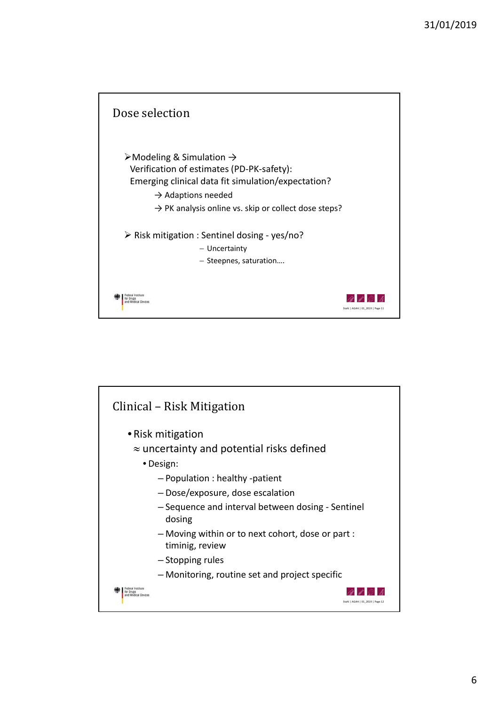

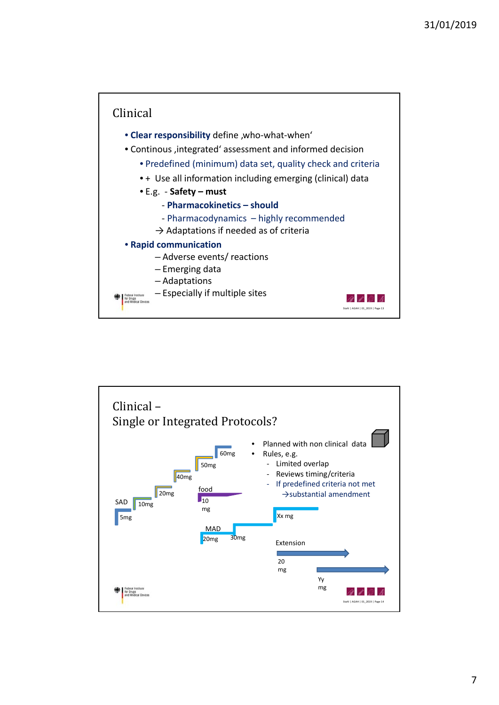

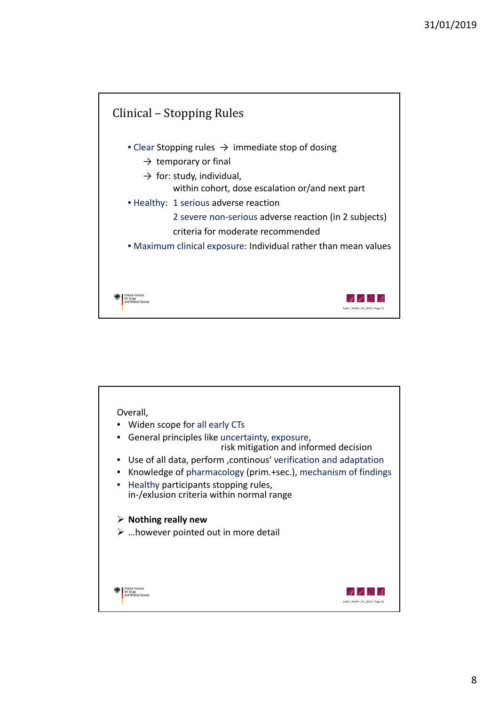